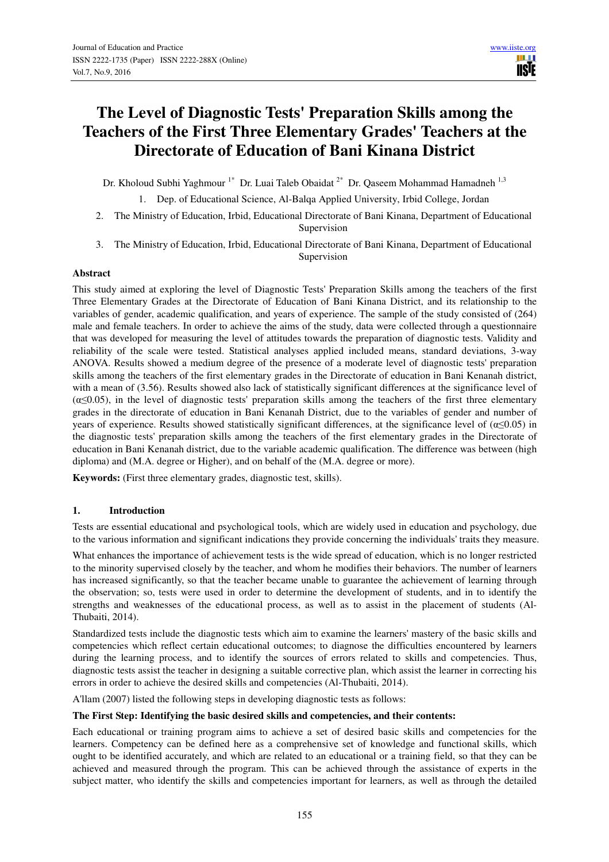# **The Level of Diagnostic Tests' Preparation Skills among the Teachers of the First Three Elementary Grades' Teachers at the Directorate of Education of Bani Kinana District**

Dr. Kholoud Subhi Yaghmour<sup>1\*</sup> Dr. Luai Taleb Obaidat<sup>2\*</sup> Dr. Qaseem Mohammad Hamadneh<sup>1,3</sup>

1. Dep. of Educational Science, Al-Balqa Applied University, Irbid College, Jordan

- 2. The Ministry of Education, Irbid, Educational Directorate of Bani Kinana, Department of Educational Supervision
- 3. The Ministry of Education, Irbid, Educational Directorate of Bani Kinana, Department of Educational Supervision

## **Abstract**

This study aimed at exploring the level of Diagnostic Tests' Preparation Skills among the teachers of the first Three Elementary Grades at the Directorate of Education of Bani Kinana District, and its relationship to the variables of gender, academic qualification, and years of experience. The sample of the study consisted of (264) male and female teachers. In order to achieve the aims of the study, data were collected through a questionnaire that was developed for measuring the level of attitudes towards the preparation of diagnostic tests. Validity and reliability of the scale were tested. Statistical analyses applied included means, standard deviations, 3-way ANOVA. Results showed a medium degree of the presence of a moderate level of diagnostic tests' preparation skills among the teachers of the first elementary grades in the Directorate of education in Bani Kenanah district, with a mean of (3.56). Results showed also lack of statistically significant differences at the significance level of  $(\alpha \leq 0.05)$ , in the level of diagnostic tests' preparation skills among the teachers of the first three elementary grades in the directorate of education in Bani Kenanah District, due to the variables of gender and number of years of experience. Results showed statistically significant differences, at the significance level of (α≤0.05) in the diagnostic tests' preparation skills among the teachers of the first elementary grades in the Directorate of education in Bani Kenanah district, due to the variable academic qualification. The difference was between (high diploma) and (M.A. degree or Higher), and on behalf of the (M.A. degree or more).

**Keywords:** (First three elementary grades, diagnostic test, skills).

## **1. Introduction**

Tests are essential educational and psychological tools, which are widely used in education and psychology, due to the various information and significant indications they provide concerning the individuals' traits they measure.

What enhances the importance of achievement tests is the wide spread of education, which is no longer restricted to the minority supervised closely by the teacher, and whom he modifies their behaviors. The number of learners has increased significantly, so that the teacher became unable to guarantee the achievement of learning through the observation; so, tests were used in order to determine the development of students, and in to identify the strengths and weaknesses of the educational process, as well as to assist in the placement of students (Al-Thubaiti, 2014).

Standardized tests include the diagnostic tests which aim to examine the learners' mastery of the basic skills and competencies which reflect certain educational outcomes; to diagnose the difficulties encountered by learners during the learning process, and to identify the sources of errors related to skills and competencies. Thus, diagnostic tests assist the teacher in designing a suitable corrective plan, which assist the learner in correcting his errors in order to achieve the desired skills and competencies (Al-Thubaiti, 2014).

A'llam (2007) listed the following steps in developing diagnostic tests as follows:

## **The First Step: Identifying the basic desired skills and competencies, and their contents:**

Each educational or training program aims to achieve a set of desired basic skills and competencies for the learners. Competency can be defined here as a comprehensive set of knowledge and functional skills, which ought to be identified accurately, and which are related to an educational or a training field, so that they can be achieved and measured through the program. This can be achieved through the assistance of experts in the subject matter, who identify the skills and competencies important for learners, as well as through the detailed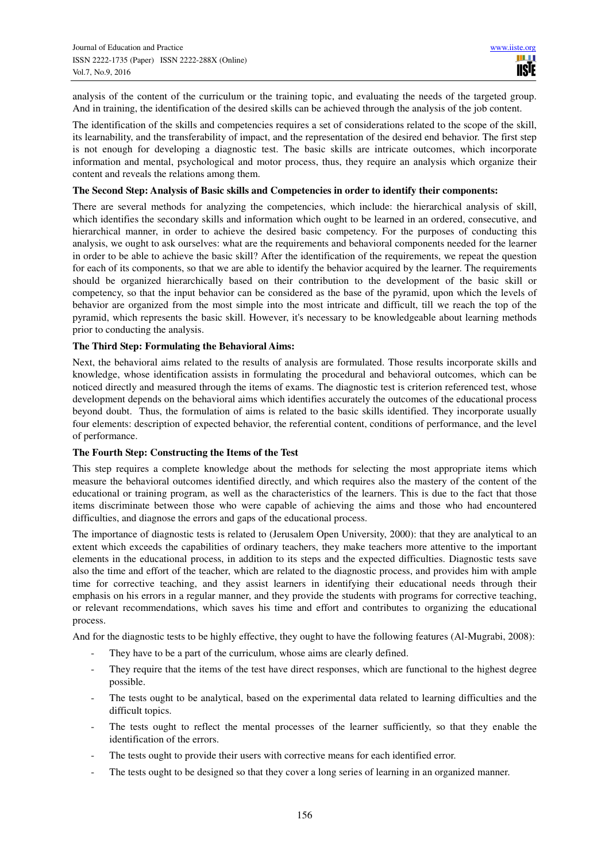analysis of the content of the curriculum or the training topic, and evaluating the needs of the targeted group. And in training, the identification of the desired skills can be achieved through the analysis of the job content.

The identification of the skills and competencies requires a set of considerations related to the scope of the skill, its learnability, and the transferability of impact, and the representation of the desired end behavior. The first step is not enough for developing a diagnostic test. The basic skills are intricate outcomes, which incorporate information and mental, psychological and motor process, thus, they require an analysis which organize their content and reveals the relations among them.

#### **The Second Step: Analysis of Basic skills and Competencies in order to identify their components:**

There are several methods for analyzing the competencies, which include: the hierarchical analysis of skill, which identifies the secondary skills and information which ought to be learned in an ordered, consecutive, and hierarchical manner, in order to achieve the desired basic competency. For the purposes of conducting this analysis, we ought to ask ourselves: what are the requirements and behavioral components needed for the learner in order to be able to achieve the basic skill? After the identification of the requirements, we repeat the question for each of its components, so that we are able to identify the behavior acquired by the learner. The requirements should be organized hierarchically based on their contribution to the development of the basic skill or competency, so that the input behavior can be considered as the base of the pyramid, upon which the levels of behavior are organized from the most simple into the most intricate and difficult, till we reach the top of the pyramid, which represents the basic skill. However, it's necessary to be knowledgeable about learning methods prior to conducting the analysis.

## **The Third Step: Formulating the Behavioral Aims:**

Next, the behavioral aims related to the results of analysis are formulated. Those results incorporate skills and knowledge, whose identification assists in formulating the procedural and behavioral outcomes, which can be noticed directly and measured through the items of exams. The diagnostic test is criterion referenced test, whose development depends on the behavioral aims which identifies accurately the outcomes of the educational process beyond doubt. Thus, the formulation of aims is related to the basic skills identified. They incorporate usually four elements: description of expected behavior, the referential content, conditions of performance, and the level of performance.

## **The Fourth Step: Constructing the Items of the Test**

This step requires a complete knowledge about the methods for selecting the most appropriate items which measure the behavioral outcomes identified directly, and which requires also the mastery of the content of the educational or training program, as well as the characteristics of the learners. This is due to the fact that those items discriminate between those who were capable of achieving the aims and those who had encountered difficulties, and diagnose the errors and gaps of the educational process.

The importance of diagnostic tests is related to (Jerusalem Open University, 2000): that they are analytical to an extent which exceeds the capabilities of ordinary teachers, they make teachers more attentive to the important elements in the educational process, in addition to its steps and the expected difficulties. Diagnostic tests save also the time and effort of the teacher, which are related to the diagnostic process, and provides him with ample time for corrective teaching, and they assist learners in identifying their educational needs through their emphasis on his errors in a regular manner, and they provide the students with programs for corrective teaching, or relevant recommendations, which saves his time and effort and contributes to organizing the educational process.

And for the diagnostic tests to be highly effective, they ought to have the following features (Al-Mugrabi, 2008):

- They have to be a part of the curriculum, whose aims are clearly defined.
- They require that the items of the test have direct responses, which are functional to the highest degree possible.
- The tests ought to be analytical, based on the experimental data related to learning difficulties and the difficult topics.
- The tests ought to reflect the mental processes of the learner sufficiently, so that they enable the identification of the errors.
- The tests ought to provide their users with corrective means for each identified error.
- The tests ought to be designed so that they cover a long series of learning in an organized manner.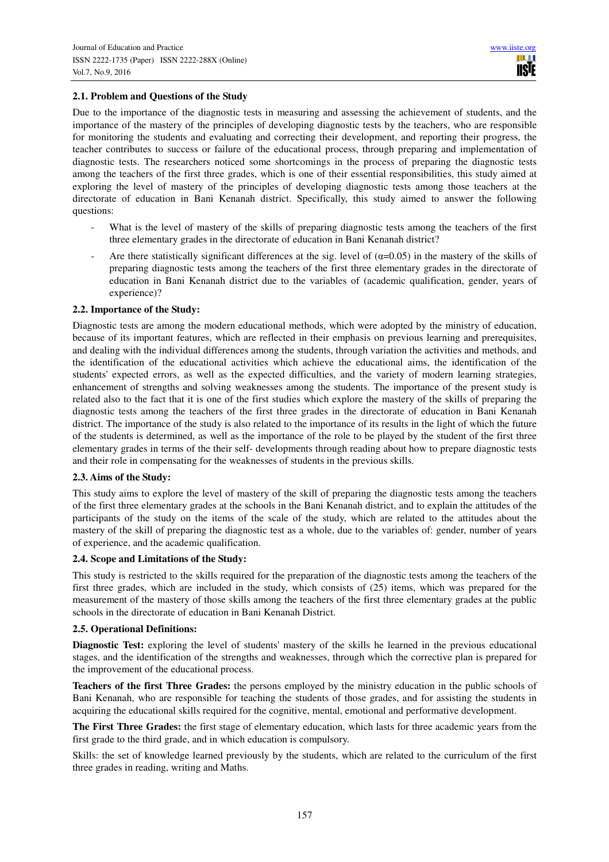# **2.1. Problem and Questions of the Study**

Due to the importance of the diagnostic tests in measuring and assessing the achievement of students, and the importance of the mastery of the principles of developing diagnostic tests by the teachers, who are responsible for monitoring the students and evaluating and correcting their development, and reporting their progress, the teacher contributes to success or failure of the educational process, through preparing and implementation of diagnostic tests. The researchers noticed some shortcomings in the process of preparing the diagnostic tests among the teachers of the first three grades, which is one of their essential responsibilities, this study aimed at exploring the level of mastery of the principles of developing diagnostic tests among those teachers at the directorate of education in Bani Kenanah district. Specifically, this study aimed to answer the following questions:

- What is the level of mastery of the skills of preparing diagnostic tests among the teachers of the first three elementary grades in the directorate of education in Bani Kenanah district?
- Are there statistically significant differences at the sig. level of  $(\alpha=0.05)$  in the mastery of the skills of preparing diagnostic tests among the teachers of the first three elementary grades in the directorate of education in Bani Kenanah district due to the variables of (academic qualification, gender, years of experience)?

## **2.2. Importance of the Study:**

Diagnostic tests are among the modern educational methods, which were adopted by the ministry of education, because of its important features, which are reflected in their emphasis on previous learning and prerequisites, and dealing with the individual differences among the students, through variation the activities and methods, and the identification of the educational activities which achieve the educational aims, the identification of the students' expected errors, as well as the expected difficulties, and the variety of modern learning strategies, enhancement of strengths and solving weaknesses among the students. The importance of the present study is related also to the fact that it is one of the first studies which explore the mastery of the skills of preparing the diagnostic tests among the teachers of the first three grades in the directorate of education in Bani Kenanah district. The importance of the study is also related to the importance of its results in the light of which the future of the students is determined, as well as the importance of the role to be played by the student of the first three elementary grades in terms of the their self- developments through reading about how to prepare diagnostic tests and their role in compensating for the weaknesses of students in the previous skills.

#### **2.3. Aims of the Study:**

This study aims to explore the level of mastery of the skill of preparing the diagnostic tests among the teachers of the first three elementary grades at the schools in the Bani Kenanah district, and to explain the attitudes of the participants of the study on the items of the scale of the study, which are related to the attitudes about the mastery of the skill of preparing the diagnostic test as a whole, due to the variables of: gender, number of years of experience, and the academic qualification.

## **2.4. Scope and Limitations of the Study:**

This study is restricted to the skills required for the preparation of the diagnostic tests among the teachers of the first three grades, which are included in the study, which consists of (25) items, which was prepared for the measurement of the mastery of those skills among the teachers of the first three elementary grades at the public schools in the directorate of education in Bani Kenanah District.

## **2.5. Operational Definitions:**

**Diagnostic Test:** exploring the level of students' mastery of the skills he learned in the previous educational stages, and the identification of the strengths and weaknesses, through which the corrective plan is prepared for the improvement of the educational process.

**Teachers of the first Three Grades:** the persons employed by the ministry education in the public schools of Bani Kenanah, who are responsible for teaching the students of those grades, and for assisting the students in acquiring the educational skills required for the cognitive, mental, emotional and performative development.

**The First Three Grades:** the first stage of elementary education, which lasts for three academic years from the first grade to the third grade, and in which education is compulsory.

Skills: the set of knowledge learned previously by the students, which are related to the curriculum of the first three grades in reading, writing and Maths.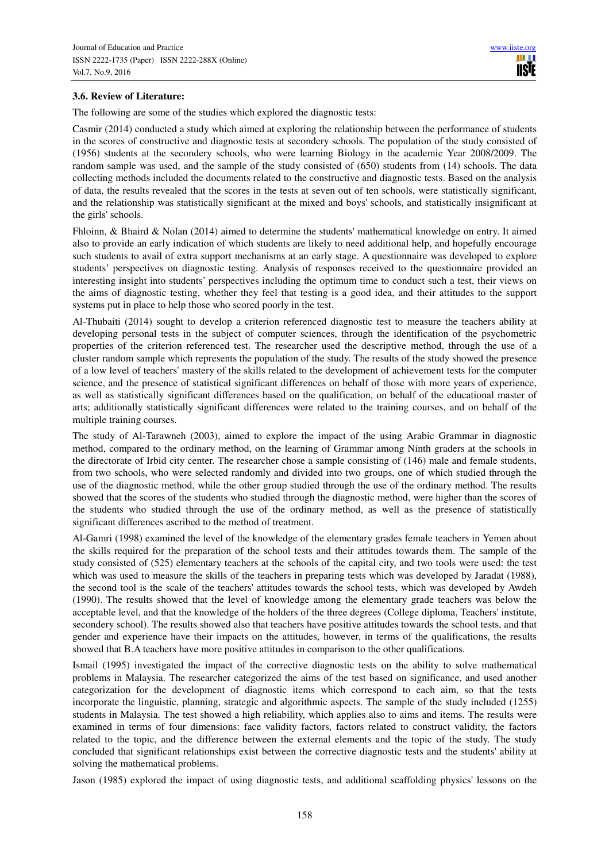# **3.6. Review of Literature:**

The following are some of the studies which explored the diagnostic tests:

Casmir (2014) conducted a study which aimed at exploring the relationship between the performance of students in the scores of constructive and diagnostic tests at secondery schools. The population of the study consisted of (1956) students at the secondery schools, who were learning Biology in the academic Year 2008/2009. The random sample was used, and the sample of the study consisted of (650) students from (14) schools. The data collecting methods included the documents related to the constructive and diagnostic tests. Based on the analysis of data, the results revealed that the scores in the tests at seven out of ten schools, were statistically significant, and the relationship was statistically significant at the mixed and boys' schools, and statistically insignificant at the girls' schools.

Fhloinn, & Bhaird & Nolan (2014) aimed to determine the students' mathematical knowledge on entry. It aimed also to provide an early indication of which students are likely to need additional help, and hopefully encourage such students to avail of extra support mechanisms at an early stage. A questionnaire was developed to explore students' perspectives on diagnostic testing. Analysis of responses received to the questionnaire provided an interesting insight into students' perspectives including the optimum time to conduct such a test, their views on the aims of diagnostic testing, whether they feel that testing is a good idea, and their attitudes to the support systems put in place to help those who scored poorly in the test.

Al-Thubaiti (2014) sought to develop a criterion referenced diagnostic test to measure the teachers ability at developing personal tests in the subject of computer sciences, through the identification of the psychometric properties of the criterion referenced test. The researcher used the descriptive method, through the use of a cluster random sample which represents the population of the study. The results of the study showed the presence of a low level of teachers' mastery of the skills related to the development of achievement tests for the computer science, and the presence of statistical significant differences on behalf of those with more years of experience, as well as statistically significant differences based on the qualification, on behalf of the educational master of arts; additionally statistically significant differences were related to the training courses, and on behalf of the multiple training courses.

The study of Al-Tarawneh (2003), aimed to explore the impact of the using Arabic Grammar in diagnostic method, compared to the ordinary method, on the learning of Grammar among Ninth graders at the schools in the directorate of Irbid city center. The researcher chose a sample consisting of (146) male and female students, from two schools, who were selected randomly and divided into two groups, one of which studied through the use of the diagnostic method, while the other group studied through the use of the ordinary method. The results showed that the scores of the students who studied through the diagnostic method, were higher than the scores of the students who studied through the use of the ordinary method, as well as the presence of statistically significant differences ascribed to the method of treatment.

Al-Gamri (1998) examined the level of the knowledge of the elementary grades female teachers in Yemen about the skills required for the preparation of the school tests and their attitudes towards them. The sample of the study consisted of (525) elementary teachers at the schools of the capital city, and two tools were used: the test which was used to measure the skills of the teachers in preparing tests which was developed by Jaradat (1988), the second tool is the scale of the teachers' attitudes towards the school tests, which was developed by Awdeh (1990). The results showed that the level of knowledge among the elementary grade teachers was below the acceptable level, and that the knowledge of the holders of the three degrees (College diploma, Teachers' institute, secondery school). The results showed also that teachers have positive attitudes towards the school tests, and that gender and experience have their impacts on the attitudes, however, in terms of the qualifications, the results showed that B.A teachers have more positive attitudes in comparison to the other qualifications.

Ismail (1995) investigated the impact of the corrective diagnostic tests on the ability to solve mathematical problems in Malaysia. The researcher categorized the aims of the test based on significance, and used another categorization for the development of diagnostic items which correspond to each aim, so that the tests incorporate the linguistic, planning, strategic and algorithmic aspects. The sample of the study included (1255) students in Malaysia. The test showed a high reliability, which applies also to aims and items. The results were examined in terms of four dimensions: face validity factors, factors related to construct validity, the factors related to the topic, and the difference between the external elements and the topic of the study. The study concluded that significant relationships exist between the corrective diagnostic tests and the students' ability at solving the mathematical problems.

Jason (1985) explored the impact of using diagnostic tests, and additional scaffolding physics' lessons on the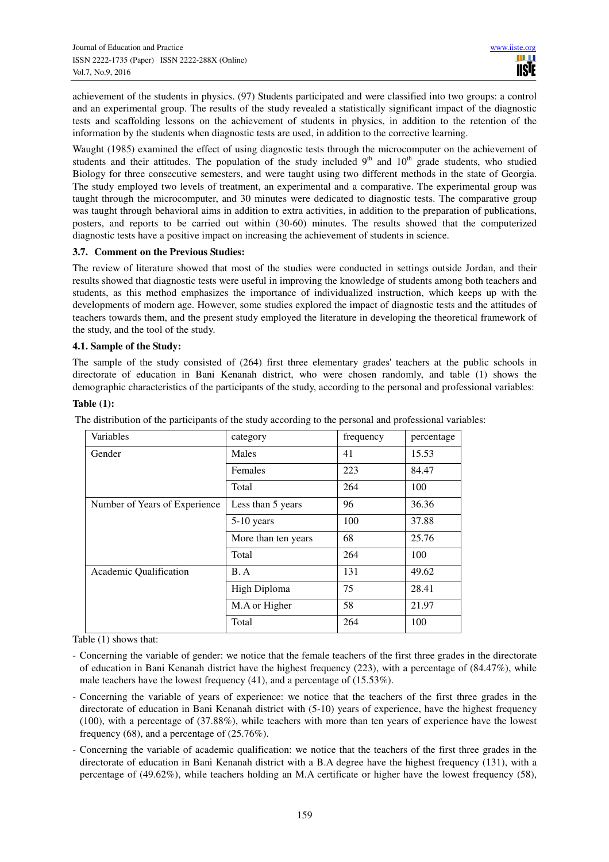achievement of the students in physics. (97) Students participated and were classified into two groups: a control and an experimental group. The results of the study revealed a statistically significant impact of the diagnostic tests and scaffolding lessons on the achievement of students in physics, in addition to the retention of the information by the students when diagnostic tests are used, in addition to the corrective learning.

Waught (1985) examined the effect of using diagnostic tests through the microcomputer on the achievement of students and their attitudes. The population of the study included  $9<sup>th</sup>$  and  $10<sup>th</sup>$  grade students, who studied Biology for three consecutive semesters, and were taught using two different methods in the state of Georgia. The study employed two levels of treatment, an experimental and a comparative. The experimental group was taught through the microcomputer, and 30 minutes were dedicated to diagnostic tests. The comparative group was taught through behavioral aims in addition to extra activities, in addition to the preparation of publications, posters, and reports to be carried out within (30-60) minutes. The results showed that the computerized diagnostic tests have a positive impact on increasing the achievement of students in science.

## **3.7. Comment on the Previous Studies:**

The review of literature showed that most of the studies were conducted in settings outside Jordan, and their results showed that diagnostic tests were useful in improving the knowledge of students among both teachers and students, as this method emphasizes the importance of individualized instruction, which keeps up with the developments of modern age. However, some studies explored the impact of diagnostic tests and the attitudes of teachers towards them, and the present study employed the literature in developing the theoretical framework of the study, and the tool of the study.

#### **4.1. Sample of the Study:**

The sample of the study consisted of (264) first three elementary grades' teachers at the public schools in directorate of education in Bani Kenanah district, who were chosen randomly, and table (1) shows the demographic characteristics of the participants of the study, according to the personal and professional variables:

#### **Table (1):**

| Variables                     | category            | frequency | percentage |
|-------------------------------|---------------------|-----------|------------|
| Gender                        | Males               | 41        | 15.53      |
|                               | Females             | 223       | 84.47      |
|                               | Total               | 264       | 100        |
| Number of Years of Experience | Less than 5 years   | 96        | 36.36      |
|                               | $5-10$ years        | 100       | 37.88      |
|                               | More than ten years | 68        | 25.76      |
|                               | Total               | 264       | 100        |
| Academic Qualification        | B. A                | 131       | 49.62      |
|                               | High Diploma        | 75        | 28.41      |
|                               | M.A or Higher       | 58        | 21.97      |
|                               | Total               | 264       | 100        |

The distribution of the participants of the study according to the personal and professional variables:

Table (1) shows that:

- Concerning the variable of gender: we notice that the female teachers of the first three grades in the directorate of education in Bani Kenanah district have the highest frequency (223), with a percentage of (84.47%), while male teachers have the lowest frequency (41), and a percentage of (15.53%).
- Concerning the variable of years of experience: we notice that the teachers of the first three grades in the directorate of education in Bani Kenanah district with (5-10) years of experience, have the highest frequency (100), with a percentage of (37.88%), while teachers with more than ten years of experience have the lowest frequency (68), and a percentage of (25.76%).
- Concerning the variable of academic qualification: we notice that the teachers of the first three grades in the directorate of education in Bani Kenanah district with a B.A degree have the highest frequency (131), with a percentage of (49.62%), while teachers holding an M.A certificate or higher have the lowest frequency (58),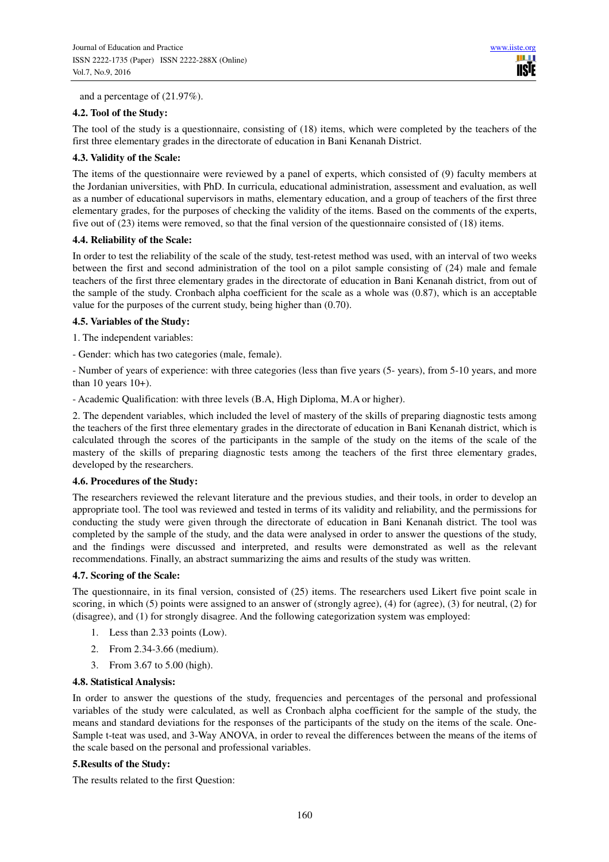and a percentage of (21.97%).

## **4.2. Tool of the Study:**

The tool of the study is a questionnaire, consisting of (18) items, which were completed by the teachers of the first three elementary grades in the directorate of education in Bani Kenanah District.

## **4.3. Validity of the Scale:**

The items of the questionnaire were reviewed by a panel of experts, which consisted of (9) faculty members at the Jordanian universities, with PhD. In curricula, educational administration, assessment and evaluation, as well as a number of educational supervisors in maths, elementary education, and a group of teachers of the first three elementary grades, for the purposes of checking the validity of the items. Based on the comments of the experts, five out of (23) items were removed, so that the final version of the questionnaire consisted of (18) items.

#### **4.4. Reliability of the Scale:**

In order to test the reliability of the scale of the study, test-retest method was used, with an interval of two weeks between the first and second administration of the tool on a pilot sample consisting of (24) male and female teachers of the first three elementary grades in the directorate of education in Bani Kenanah district, from out of the sample of the study. Cronbach alpha coefficient for the scale as a whole was (0.87), which is an acceptable value for the purposes of the current study, being higher than (0.70).

#### **4.5. Variables of the Study:**

- 1. The independent variables:
- Gender: which has two categories (male, female).

- Number of years of experience: with three categories (less than five years (5- years), from 5-10 years, and more than 10 years  $10+$ ).

- Academic Qualification: with three levels (B.A, High Diploma, M.A or higher).

2. The dependent variables, which included the level of mastery of the skills of preparing diagnostic tests among the teachers of the first three elementary grades in the directorate of education in Bani Kenanah district, which is calculated through the scores of the participants in the sample of the study on the items of the scale of the mastery of the skills of preparing diagnostic tests among the teachers of the first three elementary grades, developed by the researchers.

#### **4.6. Procedures of the Study:**

The researchers reviewed the relevant literature and the previous studies, and their tools, in order to develop an appropriate tool. The tool was reviewed and tested in terms of its validity and reliability, and the permissions for conducting the study were given through the directorate of education in Bani Kenanah district. The tool was completed by the sample of the study, and the data were analysed in order to answer the questions of the study, and the findings were discussed and interpreted, and results were demonstrated as well as the relevant recommendations. Finally, an abstract summarizing the aims and results of the study was written.

## **4.7. Scoring of the Scale:**

The questionnaire, in its final version, consisted of (25) items. The researchers used Likert five point scale in scoring, in which (5) points were assigned to an answer of (strongly agree), (4) for (agree), (3) for neutral, (2) for (disagree), and (1) for strongly disagree. And the following categorization system was employed:

- 1. Less than 2.33 points (Low).
- 2. From 2.34-3.66 (medium).
- 3. From 3.67 to 5.00 (high).

#### **4.8. Statistical Analysis:**

In order to answer the questions of the study, frequencies and percentages of the personal and professional variables of the study were calculated, as well as Cronbach alpha coefficient for the sample of the study, the means and standard deviations for the responses of the participants of the study on the items of the scale. One-Sample t-teat was used, and 3-Way ANOVA, in order to reveal the differences between the means of the items of the scale based on the personal and professional variables.

## **5.Results of the Study:**

The results related to the first Question: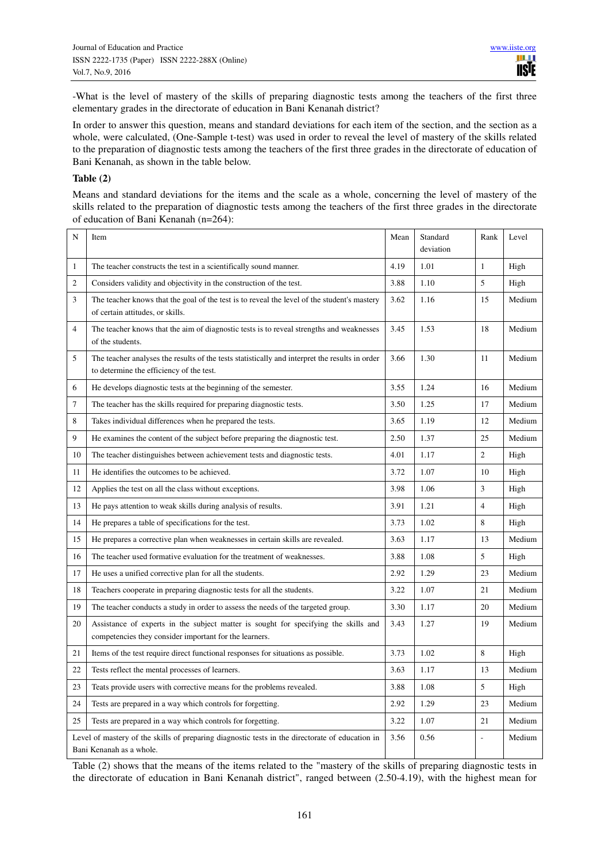-What is the level of mastery of the skills of preparing diagnostic tests among the teachers of the first three elementary grades in the directorate of education in Bani Kenanah district?

In order to answer this question, means and standard deviations for each item of the section, and the section as a whole, were calculated, (One-Sample t-test) was used in order to reveal the level of mastery of the skills related to the preparation of diagnostic tests among the teachers of the first three grades in the directorate of education of Bani Kenanah, as shown in the table below.

#### **Table (2)**

Means and standard deviations for the items and the scale as a whole, concerning the level of mastery of the skills related to the preparation of diagnostic tests among the teachers of the first three grades in the directorate of education of Bani Kenanah (n=264):

| N              | Item                                                                                                                                          | Mean | Standard<br>deviation | Rank           | Level  |
|----------------|-----------------------------------------------------------------------------------------------------------------------------------------------|------|-----------------------|----------------|--------|
| $\mathbf{1}$   | The teacher constructs the test in a scientifically sound manner.                                                                             | 4.19 | 1.01                  | $\mathbf{1}$   | High   |
| 2              | Considers validity and objectivity in the construction of the test.                                                                           | 3.88 | 1.10                  | 5              | High   |
| 3              | The teacher knows that the goal of the test is to reveal the level of the student's mastery<br>of certain attitudes, or skills.               | 3.62 | 1.16                  | 15             | Medium |
| $\overline{4}$ | The teacher knows that the aim of diagnostic tests is to reveal strengths and weaknesses<br>of the students.                                  | 3.45 | 1.53                  | 18             | Medium |
| 5              | The teacher analyses the results of the tests statistically and interpret the results in order<br>to determine the efficiency of the test.    | 3.66 | 1.30                  | 11             | Medium |
| 6              | He develops diagnostic tests at the beginning of the semester.                                                                                | 3.55 | 1.24                  | 16             | Medium |
| $\overline{7}$ | The teacher has the skills required for preparing diagnostic tests.                                                                           | 3.50 | 1.25                  | 17             | Medium |
| 8              | Takes individual differences when he prepared the tests.                                                                                      | 3.65 | 1.19                  | 12             | Medium |
| $\mathbf{Q}$   | He examines the content of the subject before preparing the diagnostic test.                                                                  | 2.50 | 1.37                  | 25             | Medium |
| 10             | The teacher distinguishes between achievement tests and diagnostic tests.                                                                     | 4.01 | 1.17                  | $\overline{2}$ | High   |
| 11             | He identifies the outcomes to be achieved.                                                                                                    | 3.72 | 1.07                  | 10             | High   |
| 12             | Applies the test on all the class without exceptions.                                                                                         | 3.98 | 1.06                  | 3              | High   |
| 13             | He pays attention to weak skills during analysis of results.                                                                                  |      | 1.21                  | $\overline{4}$ | High   |
| 14             | He prepares a table of specifications for the test.                                                                                           |      | 1.02                  | 8              | High   |
| 15             | He prepares a corrective plan when weaknesses in certain skills are revealed.                                                                 |      | 1.17                  | 13             | Medium |
| 16             | The teacher used formative evaluation for the treatment of weaknesses.                                                                        |      | 1.08                  | 5              | High   |
| 17             | He uses a unified corrective plan for all the students.                                                                                       | 2.92 | 1.29                  | 23             | Medium |
| 18             | Teachers cooperate in preparing diagnostic tests for all the students.                                                                        | 3.22 | 1.07                  | 21             | Medium |
| 19             | The teacher conducts a study in order to assess the needs of the targeted group.                                                              | 3.30 | 1.17                  | 20             | Medium |
| 20             | Assistance of experts in the subject matter is sought for specifying the skills and<br>competencies they consider important for the learners. | 3.43 | 1.27                  | 19             | Medium |
| 21             | Items of the test require direct functional responses for situations as possible.                                                             | 3.73 | 1.02                  | 8              | High   |
| 22             | Tests reflect the mental processes of learners.                                                                                               | 3.63 | 1.17                  | 13             | Medium |
| 23             | Teats provide users with corrective means for the problems revealed.                                                                          | 3.88 | 1.08                  | 5              | High   |
| 24             | Tests are prepared in a way which controls for forgetting.                                                                                    | 2.92 | 1.29                  | 23             | Medium |
| 25             | Tests are prepared in a way which controls for forgetting.                                                                                    | 3.22 | 1.07                  | 21             | Medium |
|                | Level of mastery of the skills of preparing diagnostic tests in the directorate of education in<br>Bani Kenanah as a whole.                   | 3.56 | 0.56                  | L,             | Medium |

Table (2) shows that the means of the items related to the "mastery of the skills of preparing diagnostic tests in the directorate of education in Bani Kenanah district", ranged between (2.50-4.19), with the highest mean for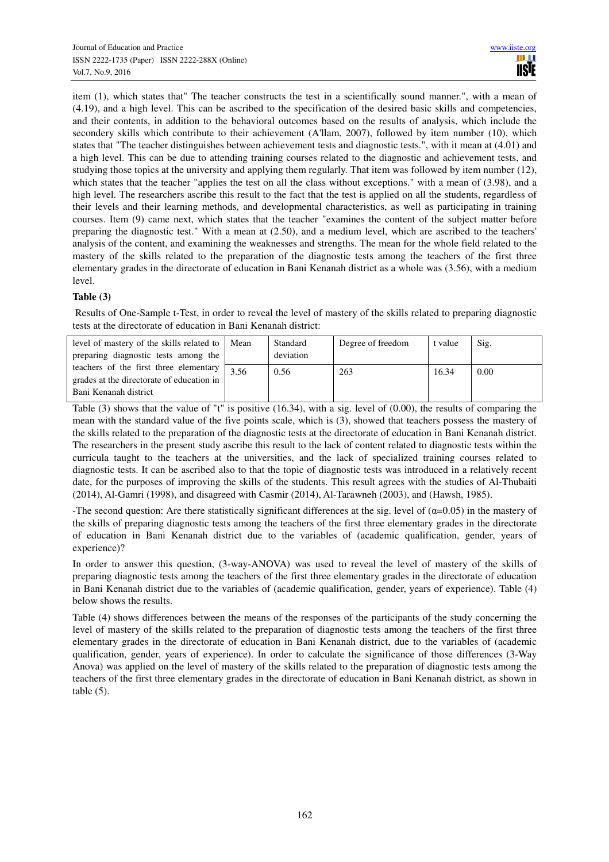item (1), which states that" The teacher constructs the test in a scientifically sound manner.", with a mean of (4.19), and a high level. This can be ascribed to the specification of the desired basic skills and competencies, and their contents, in addition to the behavioral outcomes based on the results of analysis, which include the secondery skills which contribute to their achievement (A'llam, 2007), followed by item number (10), which states that "The teacher distinguishes between achievement tests and diagnostic tests.", with it mean at (4.01) and a high level. This can be due to attending training courses related to the diagnostic and achievement tests, and studying those topics at the university and applying them regularly. That item was followed by item number (12), which states that the teacher "applies the test on all the class without exceptions." with a mean of (3.98), and a high level. The researchers ascribe this result to the fact that the test is applied on all the students, regardless of their levels and their learning methods, and developmental characteristics, as well as participating in training courses. Item (9) came next, which states that the teacher "examines the content of the subject matter before preparing the diagnostic test." With a mean at (2.50), and a medium level, which are ascribed to the teachers' analysis of the content, and examining the weaknesses and strengths. The mean for the whole field related to the mastery of the skills related to the preparation of the diagnostic tests among the teachers of the first three elementary grades in the directorate of education in Bani Kenanah district as a whole was (3.56), with a medium level.

# **Table (3)**

 Results of One-Sample t-Test, in order to reveal the level of mastery of the skills related to preparing diagnostic tests at the directorate of education in Bani Kenanah district:

| level of mastery of the skills related to   Mean<br>preparing diagnostic tests among the                     |      | Standard<br>deviation | Degree of freedom | t value | Sig. |
|--------------------------------------------------------------------------------------------------------------|------|-----------------------|-------------------|---------|------|
| teachers of the first three elementary<br>grades at the directorate of education in<br>Bani Kenanah district | 3.56 | 0.56                  | 263               | 16.34   | 0.00 |

Table (3) shows that the value of "t" is positive (16.34), with a sig. level of (0.00), the results of comparing the mean with the standard value of the five points scale, which is (3), showed that teachers possess the mastery of the skills related to the preparation of the diagnostic tests at the directorate of education in Bani Kenanah district. The researchers in the present study ascribe this result to the lack of content related to diagnostic tests within the curricula taught to the teachers at the universities, and the lack of specialized training courses related to diagnostic tests. It can be ascribed also to that the topic of diagnostic tests was introduced in a relatively recent date, for the purposes of improving the skills of the students. This result agrees with the studies of Al-Thubaiti (2014), Al-Gamri (1998), and disagreed with Casmir (2014), Al-Tarawneh (2003), and (Hawsh, 1985).

-The second question: Are there statistically significant differences at the sig. level of  $(\alpha=0.05)$  in the mastery of the skills of preparing diagnostic tests among the teachers of the first three elementary grades in the directorate of education in Bani Kenanah district due to the variables of (academic qualification, gender, years of experience)?

In order to answer this question, (3-way-ANOVA) was used to reveal the level of mastery of the skills of preparing diagnostic tests among the teachers of the first three elementary grades in the directorate of education in Bani Kenanah district due to the variables of (academic qualification, gender, years of experience). Table (4) below shows the results.

Table (4) shows differences between the means of the responses of the participants of the study concerning the level of mastery of the skills related to the preparation of diagnostic tests among the teachers of the first three elementary grades in the directorate of education in Bani Kenanah district, due to the variables of (academic qualification, gender, years of experience). In order to calculate the significance of those differences (3-Way Anova) was applied on the level of mastery of the skills related to the preparation of diagnostic tests among the teachers of the first three elementary grades in the directorate of education in Bani Kenanah district, as shown in table  $(5)$ .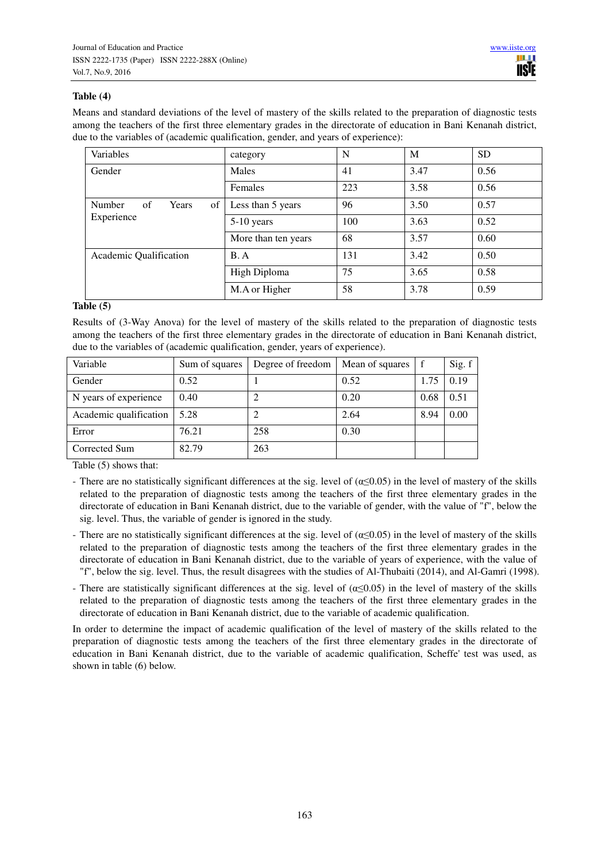# **Table (4)**

Means and standard deviations of the level of mastery of the skills related to the preparation of diagnostic tests among the teachers of the first three elementary grades in the directorate of education in Bani Kenanah district, due to the variables of (academic qualification, gender, and years of experience):

| Variables                                | category            | N   | M    | <b>SD</b> |
|------------------------------------------|---------------------|-----|------|-----------|
| Gender                                   | Males               | 41  | 3.47 | 0.56      |
|                                          | <b>Females</b>      | 223 | 3.58 | 0.56      |
| Number<br>of<br>of <sub>1</sub><br>Years | Less than 5 years   | 96  | 3.50 | 0.57      |
| Experience                               | 5-10 years          | 100 | 3.63 | 0.52      |
|                                          | More than ten years | 68  | 3.57 | 0.60      |
| Academic Qualification                   | B.A                 | 131 | 3.42 | 0.50      |
|                                          | High Diploma        | 75  | 3.65 | 0.58      |
|                                          | M.A or Higher       | 58  | 3.78 | 0.59      |

## **Table (5)**

Results of (3-Way Anova) for the level of mastery of the skills related to the preparation of diagnostic tests among the teachers of the first three elementary grades in the directorate of education in Bani Kenanah district, due to the variables of (academic qualification, gender, years of experience).

| Variable               | Sum of squares | Degree of freedom | Mean of squares |      | Sig. f |
|------------------------|----------------|-------------------|-----------------|------|--------|
| Gender                 | 0.52           |                   | 0.52            | 1.75 | 0.19   |
| N years of experience  | 0.40           |                   | 0.20            | 0.68 | 0.51   |
| Academic qualification | 5.28           |                   | 2.64            | 8.94 | 0.00   |
| Error                  | 76.21          | 258               | 0.30            |      |        |
| Corrected Sum          | 82.79          | 263               |                 |      |        |

Table (5) shows that:

- There are no statistically significant differences at the sig. level of  $(\alpha \le 0.05)$  in the level of mastery of the skills related to the preparation of diagnostic tests among the teachers of the first three elementary grades in the directorate of education in Bani Kenanah district, due to the variable of gender, with the value of "f", below the sig. level. Thus, the variable of gender is ignored in the study.
- There are no statistically significant differences at the sig. level of  $(\alpha \le 0.05)$  in the level of mastery of the skills related to the preparation of diagnostic tests among the teachers of the first three elementary grades in the directorate of education in Bani Kenanah district, due to the variable of years of experience, with the value of "f", below the sig. level. Thus, the result disagrees with the studies of Al-Thubaiti (2014), and Al-Gamri (1998).
- There are statistically significant differences at the sig. level of  $(\alpha \leq 0.05)$  in the level of mastery of the skills related to the preparation of diagnostic tests among the teachers of the first three elementary grades in the directorate of education in Bani Kenanah district, due to the variable of academic qualification.

In order to determine the impact of academic qualification of the level of mastery of the skills related to the preparation of diagnostic tests among the teachers of the first three elementary grades in the directorate of education in Bani Kenanah district, due to the variable of academic qualification, Scheffe' test was used, as shown in table (6) below.